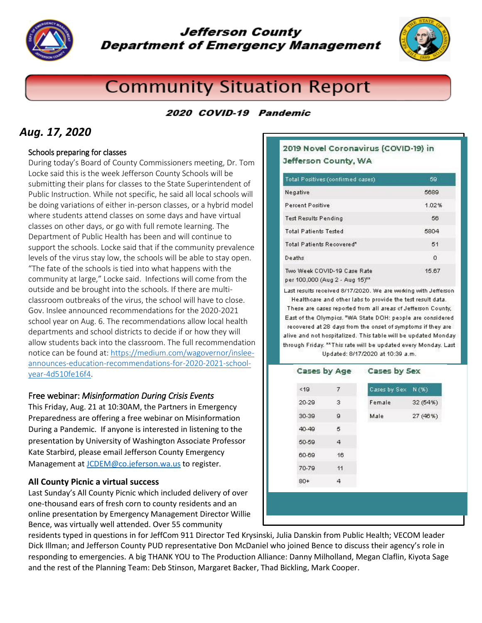

## Jefferson County **Department of Emergency Management**



# **Community Situation Report**

### 2020 COVID-19 Pandemic

## *Aug. 17, 2020*

### Schools preparing for classes

During today's Board of County Commissioners meeting, Dr. Tom Locke said this is the week Jefferson County Schools will be submitting their plans for classes to the State Superintendent of Public Instruction. While not specific, he said all local schools will be doing variations of either in-person classes, or a hybrid model where students attend classes on some days and have virtual classes on other days, or go with full remote learning. The Department of Public Health has been and will continue to support the schools. Locke said that if the community prevalence levels of the virus stay low, the schools will be able to stay open. "The fate of the schools is tied into what happens with the community at large," Locke said. Infections will come from the outside and be brought into the schools. If there are multiclassroom outbreaks of the virus, the school will have to close. Gov. Inslee announced recommendations for the 2020-2021 school year on Aug. 6. The recommendations allow local health departments and school districts to decide if or how they will allow students back into the classroom. The full recommendation notice can be found at[: https://medium.com/wagovernor/inslee](https://medium.com/wagovernor/inslee-announces-education-recommendations-for-2020-2021-school-year-4d510fe16f4)[announces-education-recommendations-for-2020-2021-school](https://medium.com/wagovernor/inslee-announces-education-recommendations-for-2020-2021-school-year-4d510fe16f4)[year-4d510fe16f4.](https://medium.com/wagovernor/inslee-announces-education-recommendations-for-2020-2021-school-year-4d510fe16f4)

### Free webinar: *Misinformation During Crisis Events*

This Friday, Aug. 21 at 10:30AM, the Partners in Emergency Preparedness are offering a free webinar on Misinformation During a Pandemic. If anyone is interested in listening to the presentation by University of Washington Associate Professor Kate Starbird, please email Jefferson County Emergency Management at [JCDEM@co.jeferson.wa.us](mailto:JCDEM@co.jeferson.wa.us) to register.

#### **All County Picnic a virtual success**

Last Sunday's All County Picnic which included delivery of over one-thousand ears of fresh corn to county residents and an online presentation by Emergency Management Director Willie Bence, was virtually well attended. Over 55 community

### 2019 Novel Coronavirus (COVID-19) in Jefferson County, WA

| Total Positives (confirmed cases)                             | 59    |
|---------------------------------------------------------------|-------|
| Negative                                                      | 5689  |
| <b>Percent Positive</b>                                       | 1.02% |
| <b>Test Results Pending</b>                                   | 56    |
| <b>Total Patients Tested</b>                                  | 5804  |
| Total Patients Recovered <sup>®</sup>                         | 51    |
| Deaths                                                        | 0     |
| Two Week COVID-19 Case Rate<br>per 100,000 (Aug 2 - Aug 15)** | 15.67 |

Last results received 8/17/2020. We are working with Jefferson

Healthcare and other labs to provide the test result data. These are cases reported from all areas of Jefferson County, East of the Olympics. \*WA State DOH: people are considered recovered at 28 days from the onset of symptoms if they are alive and not hospitalized. This table will be updated Monday through Friday. \*\* This rate will be updated every Monday. Last Updated: 8/17/2020 at 10:39 a.m.

| <19   | 7              | Cases by Sex | N(96)    |
|-------|----------------|--------------|----------|
| 20-29 | 3              | Female       | 32 (54%) |
| 30-39 | $\overline{9}$ | Male         | 27 (46%) |
| 40-49 | 5              |              |          |
| 50-59 | 4              |              |          |
| 60-69 | 16             |              |          |
| 70-79 | 11             |              |          |
| $80+$ | 4              |              |          |

residents typed in questions in for JeffCom 911 Director Ted Krysinski, Julia Danskin from Public Health; VECOM leader Dick Illman; and Jefferson County PUD representative Don McDaniel who joined Bence to discuss their agency's role in responding to emergencies. A big THANK YOU to The Production Alliance: Danny Milholland, Megan Claflin, Kiyota Sage and the rest of the Planning Team: Deb Stinson, Margaret Backer, Thad Bickling, Mark Cooper.